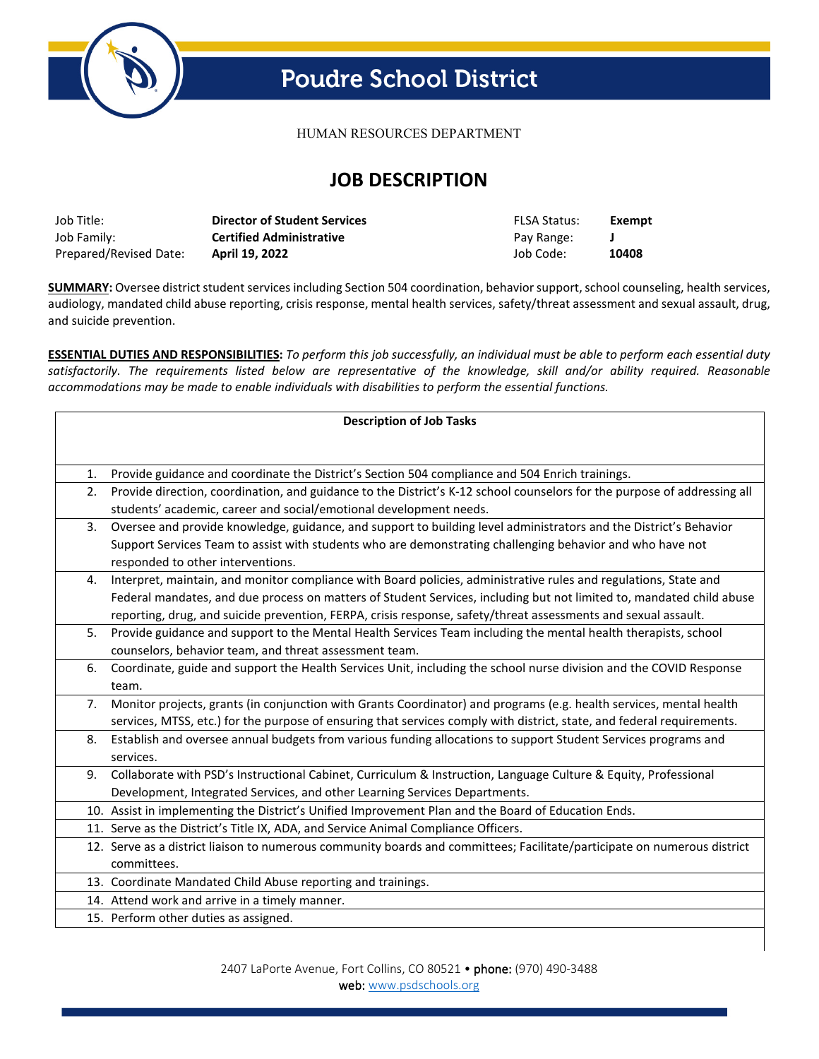

# **Poudre School District**

HUMAN RESOURCES DEPARTMENT

## **JOB DESCRIPTION**

| Job Title:             | <b>Director of Student Services</b> | <b>FLSA Status:</b> | Exempt |
|------------------------|-------------------------------------|---------------------|--------|
| Job Family:            | <b>Certified Administrative</b>     | Pay Range:          |        |
| Prepared/Revised Date: | April 19, 2022                      | Job Code:           | 10408  |

**SUMMARY:** Oversee district student services including Section 504 coordination, behavior support, school counseling, health services, audiology, mandated child abuse reporting, crisis response, mental health services, safety/threat assessment and sexual assault, drug, and suicide prevention.

**ESSENTIAL DUTIES AND RESPONSIBILITIES:** *To perform this job successfully, an individual must be able to perform each essential duty satisfactorily. The requirements listed below are representative of the knowledge, skill and/or ability required. Reasonable accommodations may be made to enable individuals with disabilities to perform the essential functions.* 

| <b>Description of Job Tasks</b> |                                                                                                                          |  |  |  |
|---------------------------------|--------------------------------------------------------------------------------------------------------------------------|--|--|--|
|                                 |                                                                                                                          |  |  |  |
|                                 |                                                                                                                          |  |  |  |
| 1.                              | Provide guidance and coordinate the District's Section 504 compliance and 504 Enrich trainings.                          |  |  |  |
| 2.                              | Provide direction, coordination, and guidance to the District's K-12 school counselors for the purpose of addressing all |  |  |  |
|                                 | students' academic, career and social/emotional development needs.                                                       |  |  |  |
| 3.                              | Oversee and provide knowledge, guidance, and support to building level administrators and the District's Behavior        |  |  |  |
|                                 | Support Services Team to assist with students who are demonstrating challenging behavior and who have not                |  |  |  |
|                                 | responded to other interventions.                                                                                        |  |  |  |
| 4.                              | Interpret, maintain, and monitor compliance with Board policies, administrative rules and regulations, State and         |  |  |  |
|                                 | Federal mandates, and due process on matters of Student Services, including but not limited to, mandated child abuse     |  |  |  |
|                                 | reporting, drug, and suicide prevention, FERPA, crisis response, safety/threat assessments and sexual assault.           |  |  |  |
| 5.                              | Provide guidance and support to the Mental Health Services Team including the mental health therapists, school           |  |  |  |
|                                 | counselors, behavior team, and threat assessment team.                                                                   |  |  |  |
| 6.                              | Coordinate, guide and support the Health Services Unit, including the school nurse division and the COVID Response       |  |  |  |
|                                 | team.                                                                                                                    |  |  |  |
| 7.                              | Monitor projects, grants (in conjunction with Grants Coordinator) and programs (e.g. health services, mental health      |  |  |  |
|                                 | services, MTSS, etc.) for the purpose of ensuring that services comply with district, state, and federal requirements.   |  |  |  |
| 8.                              | Establish and oversee annual budgets from various funding allocations to support Student Services programs and           |  |  |  |
|                                 | services.                                                                                                                |  |  |  |
| 9.                              | Collaborate with PSD's Instructional Cabinet, Curriculum & Instruction, Language Culture & Equity, Professional          |  |  |  |
|                                 | Development, Integrated Services, and other Learning Services Departments.                                               |  |  |  |
|                                 | 10. Assist in implementing the District's Unified Improvement Plan and the Board of Education Ends.                      |  |  |  |
|                                 | 11. Serve as the District's Title IX, ADA, and Service Animal Compliance Officers.                                       |  |  |  |
|                                 | 12. Serve as a district liaison to numerous community boards and committees; Facilitate/participate on numerous district |  |  |  |
|                                 | committees.                                                                                                              |  |  |  |
|                                 | 13. Coordinate Mandated Child Abuse reporting and trainings.                                                             |  |  |  |
|                                 | 14. Attend work and arrive in a timely manner.                                                                           |  |  |  |
|                                 | 15. Perform other duties as assigned.                                                                                    |  |  |  |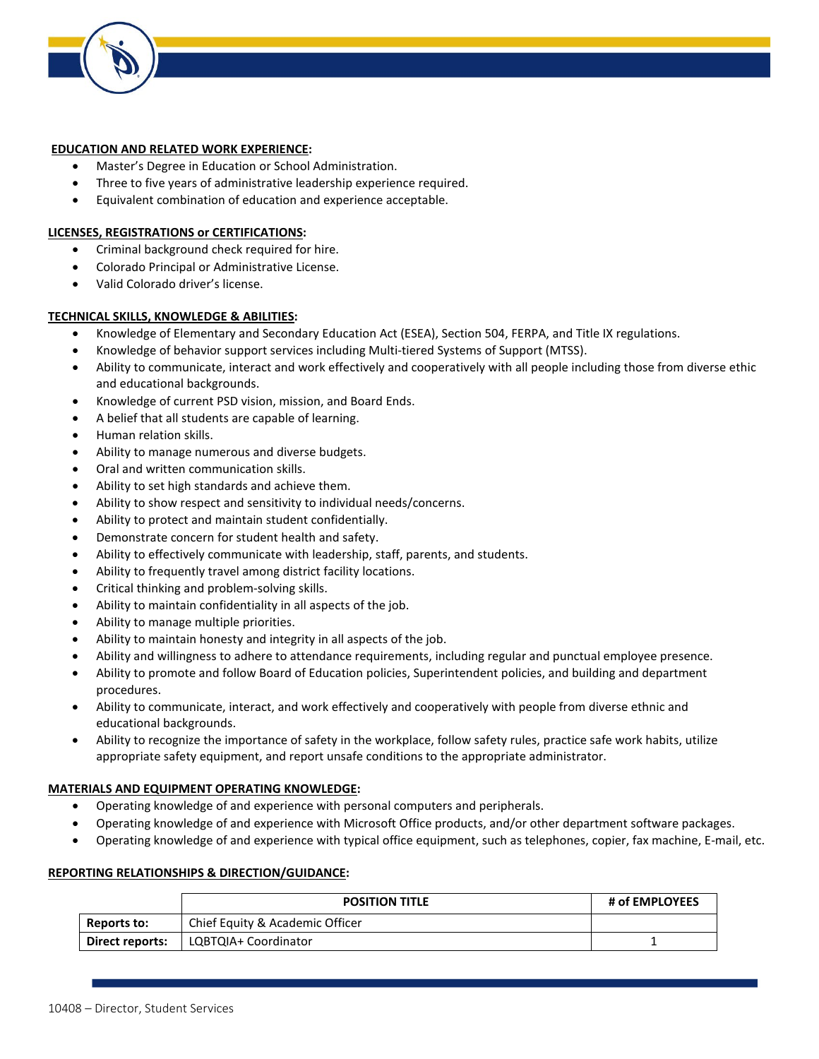

#### **EDUCATION AND RELATED WORK EXPERIENCE:**

- Master's Degree in Education or School Administration.
- Three to five years of administrative leadership experience required.
- Equivalent combination of education and experience acceptable.

#### **LICENSES, REGISTRATIONS or CERTIFICATIONS:**

- Criminal background check required for hire.
- Colorado Principal or Administrative License.
- Valid Colorado driver's license.

#### **TECHNICAL SKILLS, KNOWLEDGE & ABILITIES:**

- Knowledge of Elementary and Secondary Education Act (ESEA), Section 504, FERPA, and Title IX regulations.
- Knowledge of behavior support services including Multi-tiered Systems of Support (MTSS).
- Ability to communicate, interact and work effectively and cooperatively with all people including those from diverse ethic and educational backgrounds.
- Knowledge of current PSD vision, mission, and Board Ends.
- A belief that all students are capable of learning.
- Human relation skills.
- Ability to manage numerous and diverse budgets.
- Oral and written communication skills.
- Ability to set high standards and achieve them.
- Ability to show respect and sensitivity to individual needs/concerns.
- Ability to protect and maintain student confidentially.
- Demonstrate concern for student health and safety.
- Ability to effectively communicate with leadership, staff, parents, and students.
- Ability to frequently travel among district facility locations.
- Critical thinking and problem-solving skills.
- Ability to maintain confidentiality in all aspects of the job.
- Ability to manage multiple priorities.
- Ability to maintain honesty and integrity in all aspects of the job.
- Ability and willingness to adhere to attendance requirements, including regular and punctual employee presence.
- Ability to promote and follow Board of Education policies, Superintendent policies, and building and department procedures.
- Ability to communicate, interact, and work effectively and cooperatively with people from diverse ethnic and educational backgrounds.
- Ability to recognize the importance of safety in the workplace, follow safety rules, practice safe work habits, utilize appropriate safety equipment, and report unsafe conditions to the appropriate administrator.

### **MATERIALS AND EQUIPMENT OPERATING KNOWLEDGE:**

- Operating knowledge of and experience with personal computers and peripherals.
- Operating knowledge of and experience with Microsoft Office products, and/or other department software packages.
- Operating knowledge of and experience with typical office equipment, such as telephones, copier, fax machine, E-mail, etc.

#### **REPORTING RELATIONSHIPS & DIRECTION/GUIDANCE:**

|                 | <b>POSITION TITLE</b>           | # of EMPLOYEES |
|-----------------|---------------------------------|----------------|
| Reports to:     | Chief Equity & Academic Officer |                |
| Direct reports: | LQBTQIA+ Coordinator            |                |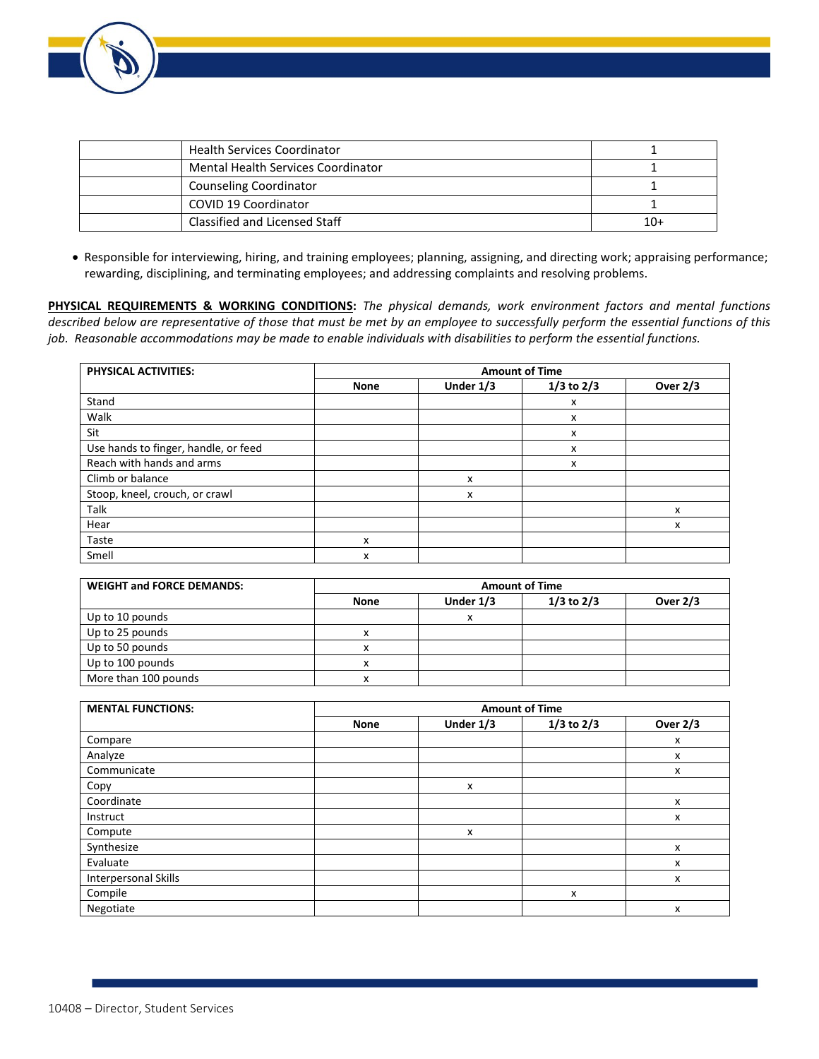

| <b>Health Services Coordinator</b> |     |
|------------------------------------|-----|
| Mental Health Services Coordinator |     |
| <b>Counseling Coordinator</b>      |     |
| COVID 19 Coordinator               |     |
| Classified and Licensed Staff      | 10+ |

• Responsible for interviewing, hiring, and training employees; planning, assigning, and directing work; appraising performance; rewarding, disciplining, and terminating employees; and addressing complaints and resolving problems.

**PHYSICAL REQUIREMENTS & WORKING CONDITIONS:** *The physical demands, work environment factors and mental functions described below are representative of those that must be met by an employee to successfully perform the essential functions of this job. Reasonable accommodations may be made to enable individuals with disabilities to perform the essential functions.*

| <b>PHYSICAL ACTIVITIES:</b>          | <b>Amount of Time</b> |           |                |                 |
|--------------------------------------|-----------------------|-----------|----------------|-----------------|
|                                      | <b>None</b>           | Under 1/3 | $1/3$ to $2/3$ | <b>Over 2/3</b> |
| Stand                                |                       |           | x              |                 |
| Walk                                 |                       |           | x              |                 |
| Sit                                  |                       |           | x              |                 |
| Use hands to finger, handle, or feed |                       |           | x              |                 |
| Reach with hands and arms            |                       |           | x              |                 |
| Climb or balance                     |                       | x         |                |                 |
| Stoop, kneel, crouch, or crawl       |                       | x         |                |                 |
| Talk                                 |                       |           |                | x               |
| Hear                                 |                       |           |                | x               |
| Taste                                | x                     |           |                |                 |
| Smell                                | x                     |           |                |                 |

| <b>WEIGHT and FORCE DEMANDS:</b> | <b>Amount of Time</b> |            |                |                 |
|----------------------------------|-----------------------|------------|----------------|-----------------|
|                                  | <b>None</b>           | Under 1/3  | $1/3$ to $2/3$ | <b>Over 2/3</b> |
| Up to 10 pounds                  |                       | $\check{}$ |                |                 |
| Up to 25 pounds                  |                       |            |                |                 |
| Up to 50 pounds                  |                       |            |                |                 |
| Up to 100 pounds                 |                       |            |                |                 |
| More than 100 pounds             | $\lambda$             |            |                |                 |

| <b>MENTAL FUNCTIONS:</b> | <b>Amount of Time</b> |           |                |                 |
|--------------------------|-----------------------|-----------|----------------|-----------------|
|                          | <b>None</b>           | Under 1/3 | $1/3$ to $2/3$ | <b>Over 2/3</b> |
| Compare                  |                       |           |                | x               |
| Analyze                  |                       |           |                | x               |
| Communicate              |                       |           |                | x               |
| Copy                     |                       | x         |                |                 |
| Coordinate               |                       |           |                | x               |
| Instruct                 |                       |           |                | x               |
| Compute                  |                       | x         |                |                 |
| Synthesize               |                       |           |                | x               |
| Evaluate                 |                       |           |                | x               |
| Interpersonal Skills     |                       |           |                | x               |
| Compile                  |                       |           | x              |                 |
| Negotiate                |                       |           |                | x               |